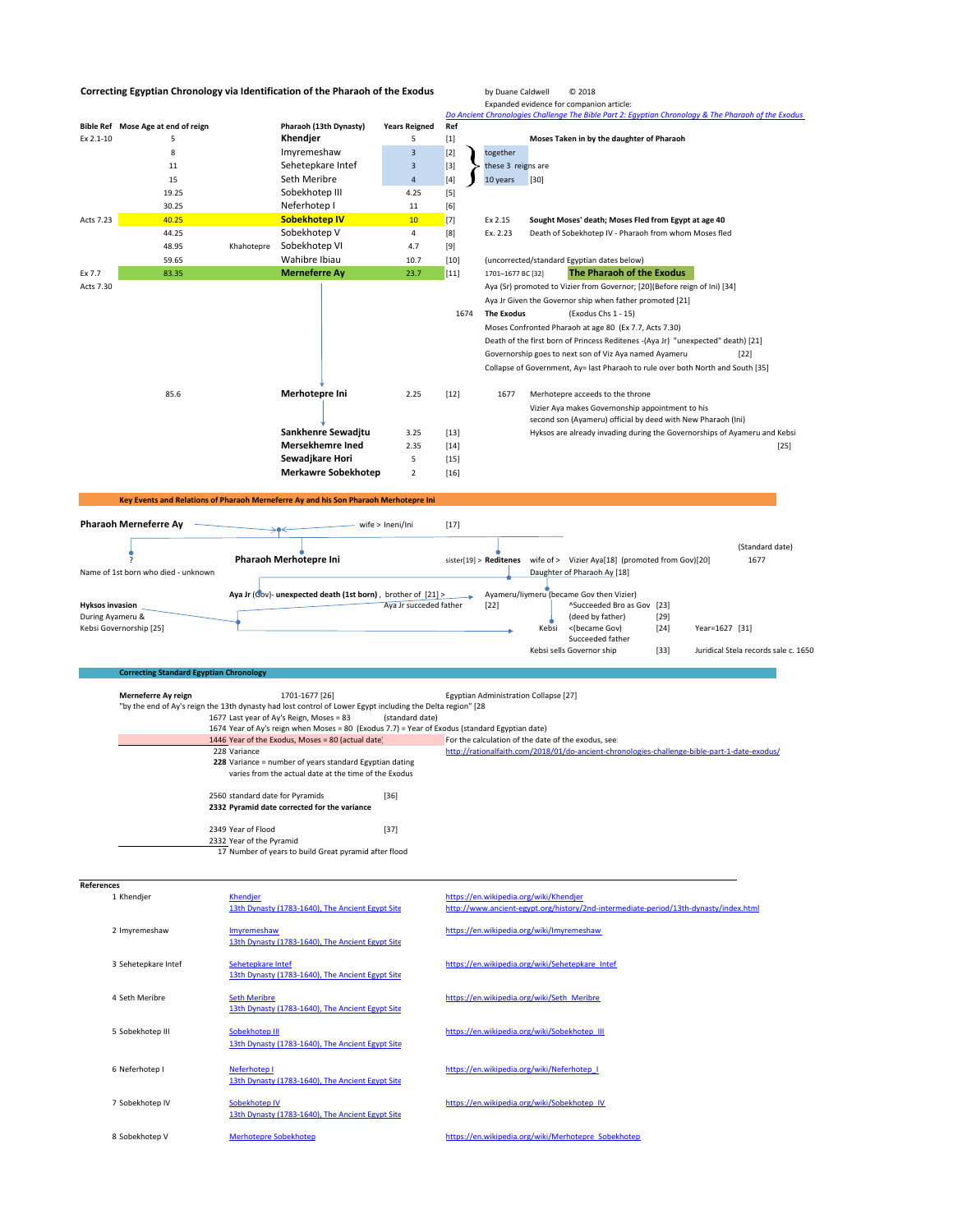## **Correcting Egyptian Chronology via Identification of the Pharaoh of the Exodus** by Duane Caldwell © 2018

**Bible** Ref Mose Age at end of reign **Pharaoh** (13th Dynasty)

Expanded evidence for companion article: *Do Ancient Chronologies Challenge The Bible Part 2: Egyptian Chronology & The Pharaoh of the Exodus* Ex 2.1-10 5 5 **Khendjer** 5 [1] **Moses Taken in by the daughter of Pharaoh**<br>
8 **Imyremeshaw** 3 [2] **Considered and Exceptional Exception** 8  $\begin{array}{|c|c|c|c|}\n\hline\n3 & [2] & \text{together}\n\end{array}$ 

|                              | 11                                             |            | Sehetepkare Intef                                                                                                                                      | $\overline{\mathbf{3}}$ | $[3]$  | these 3 reigns are                    |                                                                                  |        |                |                                      |
|------------------------------|------------------------------------------------|------------|--------------------------------------------------------------------------------------------------------------------------------------------------------|-------------------------|--------|---------------------------------------|----------------------------------------------------------------------------------|--------|----------------|--------------------------------------|
|                              | 15                                             |            | Seth Meribre                                                                                                                                           | $\sqrt{4}$              | $[4]$  | 10 years                              | $[30]$                                                                           |        |                |                                      |
|                              | 19.25                                          |            | Sobekhotep III                                                                                                                                         | 4.25                    | $[5]$  |                                       |                                                                                  |        |                |                                      |
|                              | 30.25                                          |            | Neferhotep I                                                                                                                                           | 11                      | $[6]$  |                                       |                                                                                  |        |                |                                      |
| Acts 7.23                    | 40.25                                          |            | <b>Sobekhotep IV</b>                                                                                                                                   | 10                      | $[7]$  | Ex 2.15                               | Sought Moses' death; Moses Fled from Egypt at age 40                             |        |                |                                      |
|                              | 44.25                                          |            | Sobekhotep V                                                                                                                                           | $\overline{4}$          | [8]    | Ex. 2.23                              | Death of Sobekhotep IV - Pharaoh from whom Moses fled                            |        |                |                                      |
|                              | 48.95                                          | Khahotepre | Sobekhotep VI                                                                                                                                          | 4.7                     | $[9]$  |                                       |                                                                                  |        |                |                                      |
|                              | 59.65                                          |            | Wahibre Ibiau                                                                                                                                          | 10.7                    | $[10]$ |                                       | (uncorrected/standard Egyptian dates below)                                      |        |                |                                      |
| Ex 7.7                       | 83.35                                          |            | <b>Merneferre Ay</b>                                                                                                                                   | 23.7                    | $[11]$ | 1701-1677 BC [32]                     | The Pharaoh of the Exodus                                                        |        |                |                                      |
| Acts 7.30                    |                                                |            |                                                                                                                                                        |                         |        |                                       | Aya (Sr) promoted to Vizier from Governor; [20](Before reign of Ini) [34]        |        |                |                                      |
|                              |                                                |            |                                                                                                                                                        |                         |        |                                       | Aya Jr Given the Governor ship when father promoted [21]                         |        |                |                                      |
|                              |                                                |            |                                                                                                                                                        |                         | 1674   | <b>The Exodus</b>                     | (Exodus Chs 1 - 15)                                                              |        |                |                                      |
|                              |                                                |            |                                                                                                                                                        |                         |        |                                       | Moses Confronted Pharaoh at age 80 (Ex 7.7, Acts 7.30)                           |        |                |                                      |
|                              |                                                |            |                                                                                                                                                        |                         |        |                                       | Death of the first born of Princess Reditenes -(Aya Jr) "unexpected" death) [21] |        |                |                                      |
|                              |                                                |            |                                                                                                                                                        |                         |        |                                       | Governorship goes to next son of Viz Aya named Ayameru                           |        |                | $[22]$                               |
|                              |                                                |            |                                                                                                                                                        |                         |        |                                       | Collapse of Government, Ay= last Pharaoh to rule over both North and South [35]  |        |                |                                      |
|                              |                                                |            |                                                                                                                                                        |                         |        |                                       |                                                                                  |        |                |                                      |
|                              | 85.6                                           |            | Merhotepre Ini                                                                                                                                         | 2.25                    | $[12]$ | 1677                                  | Merhotepre acceeds to the throne                                                 |        |                |                                      |
|                              |                                                |            |                                                                                                                                                        |                         |        |                                       | Vizier Aya makes Governonship appointment to his                                 |        |                |                                      |
|                              |                                                |            |                                                                                                                                                        |                         |        |                                       | second son (Ayameru) official by deed with New Pharaoh (Ini)                     |        |                |                                      |
|                              |                                                |            | Sankhenre Sewadjtu                                                                                                                                     | 3.25                    | $[13]$ |                                       | Hyksos are already invading during the Governorships of Ayameru and Kebsi        |        |                |                                      |
|                              |                                                |            | <b>Mersekhemre Ined</b>                                                                                                                                | 2.35                    | $[14]$ |                                       |                                                                                  |        |                | $[25]$                               |
|                              |                                                |            | Sewadjkare Hori                                                                                                                                        | 5                       | $[15]$ |                                       |                                                                                  |        |                |                                      |
|                              |                                                |            | <b>Merkawre Sobekhotep</b>                                                                                                                             | $\overline{2}$          | $[16]$ |                                       |                                                                                  |        |                |                                      |
|                              |                                                |            |                                                                                                                                                        |                         |        |                                       |                                                                                  |        |                |                                      |
|                              |                                                |            | Key Events and Relations of Pharaoh Merneferre Ay and his Son Pharaoh Merhotepre Ini                                                                   |                         |        |                                       |                                                                                  |        |                |                                      |
| <b>Pharaoh Merneferre Ay</b> |                                                |            |                                                                                                                                                        | wife > Ineni/Ini        | $[17]$ |                                       |                                                                                  |        |                |                                      |
|                              |                                                |            |                                                                                                                                                        |                         |        |                                       |                                                                                  |        |                |                                      |
|                              |                                                |            |                                                                                                                                                        |                         |        |                                       |                                                                                  |        |                | (Standard date)                      |
|                              |                                                |            | Pharaoh Merhotepre Ini                                                                                                                                 |                         |        |                                       | sister[19] > Reditenes wife of > Vizier Aya[18] (promoted from Gov)[20]          |        |                | 1677                                 |
|                              | Name of 1st born who died - unknown            |            |                                                                                                                                                        |                         |        |                                       | Daughter of Pharaoh Ay [18]                                                      |        |                |                                      |
|                              |                                                |            | Aya Jr (Gov)- unexpected death (1st born), brother of [21] >                                                                                           |                         |        |                                       | Ayameru/liymeru (became Gov then Vizier)                                         |        |                |                                      |
| <b>Hyksos invasion</b>       |                                                |            |                                                                                                                                                        | Aya Jr succeded father  |        | $[22]$                                | ^Succeeded Bro as Gov [23]                                                       |        |                |                                      |
| During Ayameru &             |                                                |            |                                                                                                                                                        |                         |        |                                       | (deed by father)                                                                 | $[29]$ |                |                                      |
| Kebsi Governorship [25]      |                                                |            |                                                                                                                                                        |                         |        |                                       | <(became Gov)<br>Kebsi                                                           | $[24]$ | Year=1627 [31] |                                      |
|                              |                                                |            |                                                                                                                                                        |                         |        |                                       | Succeeded father<br>Kebsi sells Governor ship                                    | $[33]$ |                | Juridical Stela records sale c. 1650 |
|                              |                                                |            |                                                                                                                                                        |                         |        |                                       |                                                                                  |        |                |                                      |
|                              | <b>Correcting Standard Egyptian Chronology</b> |            |                                                                                                                                                        |                         |        |                                       |                                                                                  |        |                |                                      |
|                              |                                                |            |                                                                                                                                                        |                         |        |                                       |                                                                                  |        |                |                                      |
|                              | Merneferre Ay reign                            |            | 1701-1677 [26]                                                                                                                                         |                         |        | Egyptian Administration Collapse [27] |                                                                                  |        |                |                                      |
|                              |                                                |            | "by the end of Ay's reign the 13th dynasty had lost control of Lower Egypt including the Delta region" [28<br>1677 Last year of Ay's Reign, Moses = 83 | (standard date)         |        |                                       |                                                                                  |        |                |                                      |
|                              |                                                |            | 1674 Year of Ay's reign when Moses = 80 (Exodus 7.7) = Year of Exodus (standard Egyptian date)                                                         |                         |        |                                       |                                                                                  |        |                |                                      |

1674 Year of Ay's reign when Moses = 80 (Exodus 7.7) = Year of Exodus (standard Egyptian date)<br>1446 Year of the Exodus, Moses = 80 (actual date) For the calculation of the date of the exodus, see: 228 Variance http://rationalfaith.com/2018/01/do‐ancient‐chronologies‐challenge‐bible‐part‐1‐date‐exodus/ **228** Variance = number of years standard Egyptian dating varies from the actual date at the time of the Exodus 2560 standard date for Pyramids [36] **2332 Pyramid date corrected for the variance**

| 2349 Year of Flood                                    | [37] |
|-------------------------------------------------------|------|
| 2332 Year of the Pyramid                              |      |
| 17 Number of years to build Great pyramid after flood |      |

## **References**

| . |                     |                                                                         |                                                                                                                                |
|---|---------------------|-------------------------------------------------------------------------|--------------------------------------------------------------------------------------------------------------------------------|
|   | 1 Khendjer          | <b>Khendjer</b><br>13th Dynasty (1783-1640), The Ancient Egypt Site     | https://en.wikipedia.org/wiki/Khendjer<br>http://www.ancient-egypt.org/history/2nd-intermediate-period/13th-dynasty/index.html |
|   | 2 Imyremeshaw       | Imyremeshaw<br>13th Dynasty (1783-1640), The Ancient Egypt Site         | https://en.wikipedia.org/wiki/Imyremeshaw                                                                                      |
|   | 3 Sehetepkare Intef | Sehetepkare Intef<br>13th Dynasty (1783-1640), The Ancient Egypt Site   | https://en.wikipedia.org/wiki/Sehetepkare Intef                                                                                |
|   | 4 Seth Meribre      | <b>Seth Meribre</b><br>13th Dynasty (1783-1640), The Ancient Egypt Site | https://en.wikipedia.org/wiki/Seth Meribre                                                                                     |
|   | 5 Sobekhotep III    | Sobekhotep III<br>13th Dynasty (1783-1640), The Ancient Egypt Site      | https://en.wikipedia.org/wiki/Sobekhotep III                                                                                   |
|   | 6 Neferhotep I      | Neferhoten I<br>13th Dynasty (1783-1640), The Ancient Egypt Site        | https://en.wikipedia.org/wiki/Neferhotep I                                                                                     |
|   | 7 Sobekhotep IV     | Sobekhoten IV<br>13th Dynasty (1783-1640), The Ancient Egypt Site       | https://en.wikipedia.org/wiki/Sobekhotep IV                                                                                    |
|   | 8 Sobekhotep V      | <b>Merhotepre Sobekhotep</b>                                            | https://en.wikipedia.org/wiki/Merhotepre Sobekhotep                                                                            |
|   |                     |                                                                         |                                                                                                                                |